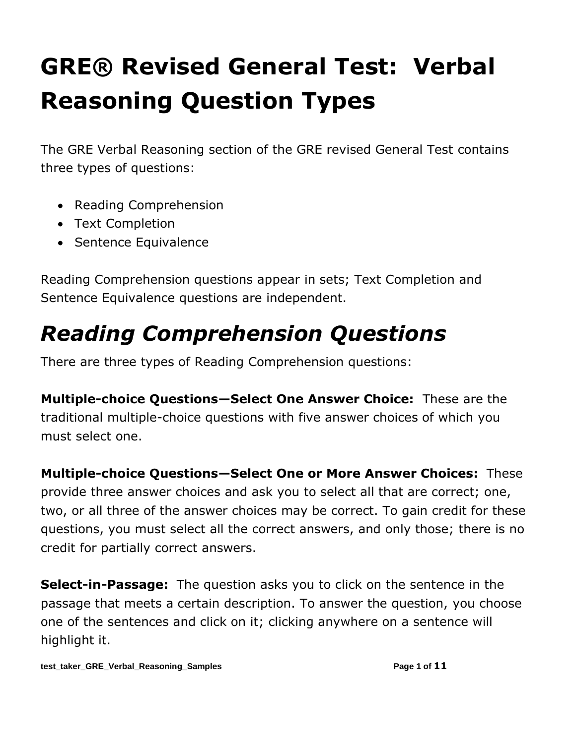# **GRE® Revised General Test: Verbal Reasoning Question Types**

The GRE Verbal Reasoning section of the GRE revised General Test contains three types of questions:

- Reading Comprehension
- Text Completion
- Sentence Equivalence

Reading Comprehension questions appear in sets; Text Completion and Sentence Equivalence questions are independent.

# *Reading Comprehension Questions*

There are three types of Reading Comprehension questions:

**Multiple-choice Questions—Select One Answer Choice:** These are the traditional multiple-choice questions with five answer choices of which you must select one.

**Multiple-choice Questions—Select One or More Answer Choices:** These provide three answer choices and ask you to select all that are correct; one, two, or all three of the answer choices may be correct. To gain credit for these questions, you must select all the correct answers, and only those; there is no credit for partially correct answers.

**Select-in-Passage:** The question asks you to click on the sentence in the passage that meets a certain description. To answer the question, you choose one of the sentences and click on it; clicking anywhere on a sentence will highlight it.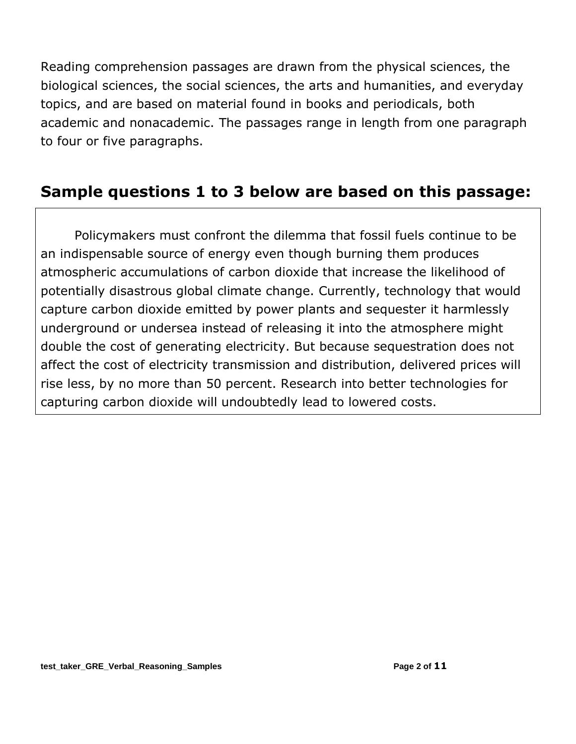Reading comprehension passages are drawn from the physical sciences, the biological sciences, the social sciences, the arts and humanities, and everyday topics, and are based on material found in books and periodicals, both academic and nonacademic. The passages range in length from one paragraph to four or five paragraphs.

#### **Sample questions 1 to 3 below are based on this passage:**

Policymakers must confront the dilemma that fossil fuels continue to be an indispensable source of energy even though burning them produces atmospheric accumulations of carbon dioxide that increase the likelihood of potentially disastrous global climate change. Currently, technology that would capture carbon dioxide emitted by power plants and sequester it harmlessly underground or undersea instead of releasing it into the atmosphere might double the cost of generating electricity. But because sequestration does not affect the cost of electricity transmission and distribution, delivered prices will rise less, by no more than 50 percent. Research into better technologies for capturing carbon dioxide will undoubtedly lead to lowered costs.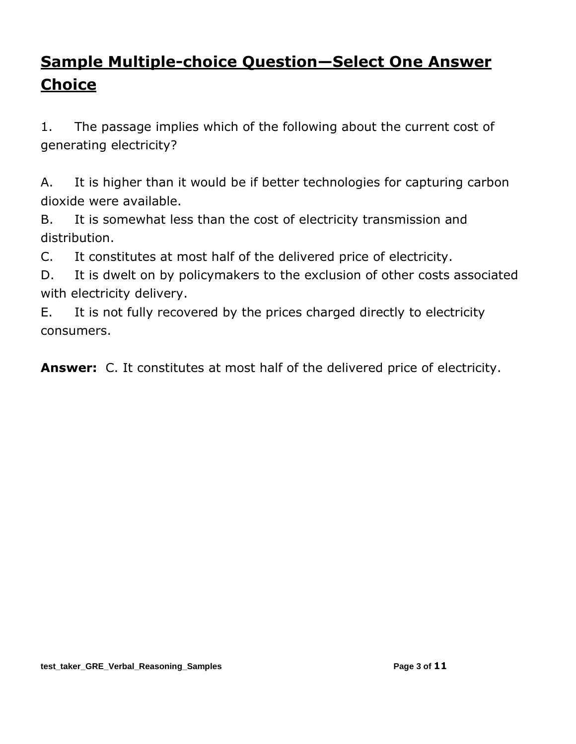# **Sample Multiple-choice Question—Select One Answer Choice**

1. The passage implies which of the following about the current cost of generating electricity?

A. It is higher than it would be if better technologies for capturing carbon dioxide were available.

B. It is somewhat less than the cost of electricity transmission and distribution.

C. It constitutes at most half of the delivered price of electricity.

D. It is dwelt on by policymakers to the exclusion of other costs associated with electricity delivery.

E. It is not fully recovered by the prices charged directly to electricity consumers.

**Answer:** C. It constitutes at most half of the delivered price of electricity.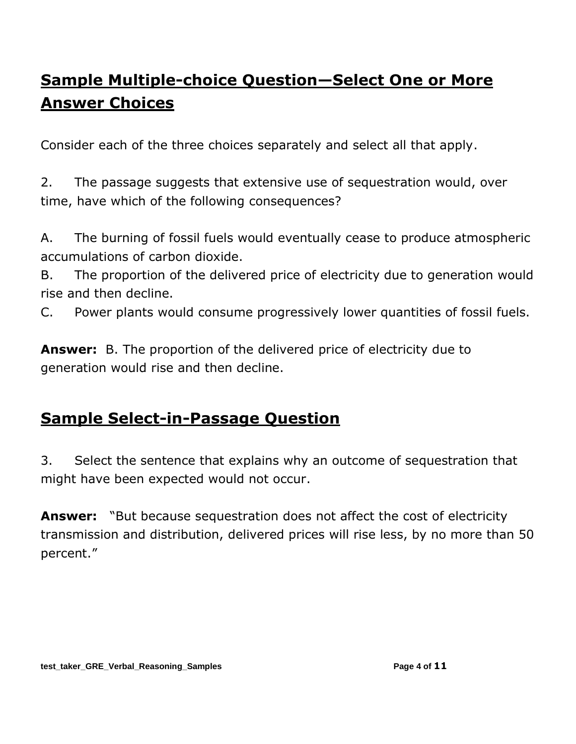# **Sample Multiple-choice Question—Select One or More Answer Choices**

Consider each of the three choices separately and select all that apply.

2. The passage suggests that extensive use of sequestration would, over time, have which of the following consequences?

A. The burning of fossil fuels would eventually cease to produce atmospheric accumulations of carbon dioxide.

B. The proportion of the delivered price of electricity due to generation would rise and then decline.

C. Power plants would consume progressively lower quantities of fossil fuels.

**Answer:** B. The proportion of the delivered price of electricity due to generation would rise and then decline.

### **Sample Select-in-Passage Question**

3. Select the sentence that explains why an outcome of sequestration that might have been expected would not occur.

**Answer:** "But because sequestration does not affect the cost of electricity transmission and distribution, delivered prices will rise less, by no more than 50 percent."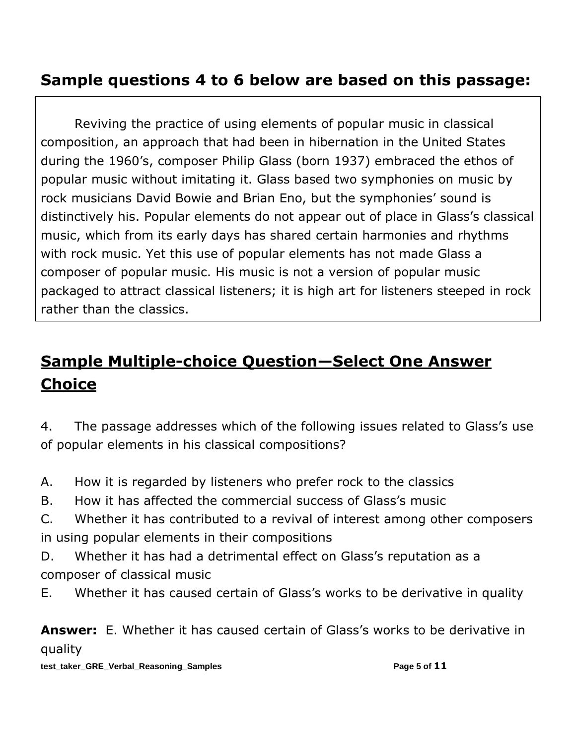## **Sample questions 4 to 6 below are based on this passage:**

Reviving the practice of using elements of popular music in classical composition, an approach that had been in hibernation in the United States during the 1960's, composer Philip Glass (born 1937) embraced the ethos of popular music without imitating it. Glass based two symphonies on music by rock musicians David Bowie and Brian Eno, but the symphonies' sound is distinctively his. Popular elements do not appear out of place in Glass's classical music, which from its early days has shared certain harmonies and rhythms with rock music. Yet this use of popular elements has not made Glass a composer of popular music. His music is not a version of popular music packaged to attract classical listeners; it is high art for listeners steeped in rock rather than the classics.

# **Sample Multiple-choice Question—Select One Answer Choice**

4. The passage addresses which of the following issues related to Glass's use of popular elements in his classical compositions?

- A. How it is regarded by listeners who prefer rock to the classics
- B. How it has affected the commercial success of Glass's music
- C. Whether it has contributed to a revival of interest among other composers in using popular elements in their compositions
- D. Whether it has had a detrimental effect on Glass's reputation as a composer of classical music
- E. Whether it has caused certain of Glass's works to be derivative in quality

**Answer:** E. Whether it has caused certain of Glass's works to be derivative in quality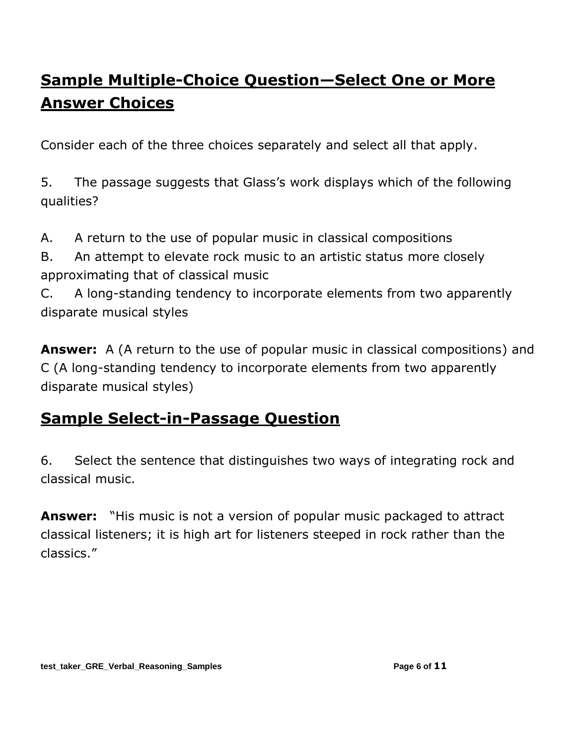# **Sample Multiple-Choice Question—Select One or More Answer Choices**

Consider each of the three choices separately and select all that apply.

5. The passage suggests that Glass's work displays which of the following qualities?

A. A return to the use of popular music in classical compositions

B. An attempt to elevate rock music to an artistic status more closely approximating that of classical music

C. A long-standing tendency to incorporate elements from two apparently disparate musical styles

**Answer:** A (A return to the use of popular music in classical compositions) and C (A long-standing tendency to incorporate elements from two apparently disparate musical styles)

### **Sample Select-in-Passage Question**

6. Select the sentence that distinguishes two ways of integrating rock and classical music.

**Answer:** "His music is not a version of popular music packaged to attract classical listeners; it is high art for listeners steeped in rock rather than the classics."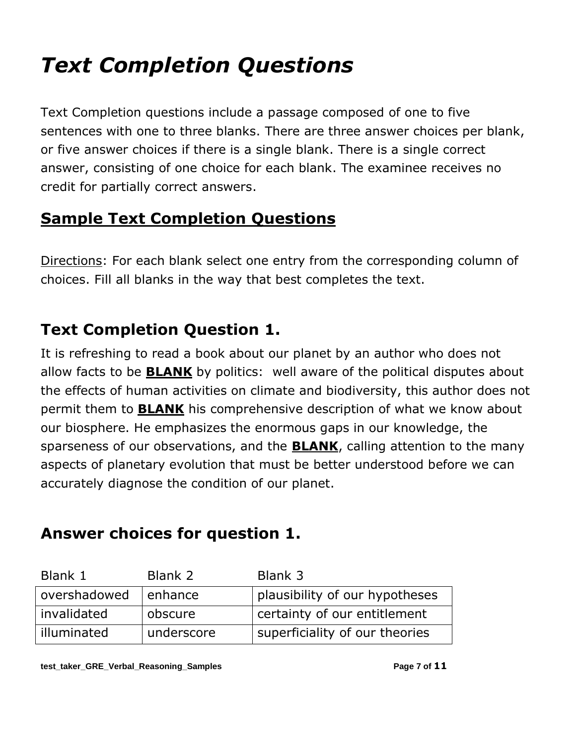# *Text Completion Questions*

Text Completion questions include a passage composed of one to five sentences with one to three blanks. There are three answer choices per blank, or five answer choices if there is a single blank. There is a single correct answer, consisting of one choice for each blank. The examinee receives no credit for partially correct answers.

## **Sample Text Completion Questions**

Directions: For each blank select one entry from the corresponding column of choices. Fill all blanks in the way that best completes the text.

## **Text Completion Question 1.**

It is refreshing to read a book about our planet by an author who does not allow facts to be **BLANK** by politics: well aware of the political disputes about the effects of human activities on climate and biodiversity, this author does not permit them to **BLANK** his comprehensive description of what we know about our biosphere. He emphasizes the enormous gaps in our knowledge, the sparseness of our observations, and the **BLANK**, calling attention to the many aspects of planetary evolution that must be better understood before we can accurately diagnose the condition of our planet.

### **Answer choices for question 1.**

| Blank 1      | Blank 2    | Blank 3                        |
|--------------|------------|--------------------------------|
| overshadowed | enhance    | plausibility of our hypotheses |
| invalidated  | obscure    | certainty of our entitlement   |
| illuminated  | underscore | superficiality of our theories |

**test\_taker\_GRE\_Verbal\_Reasoning\_Samples Page 7 of 11**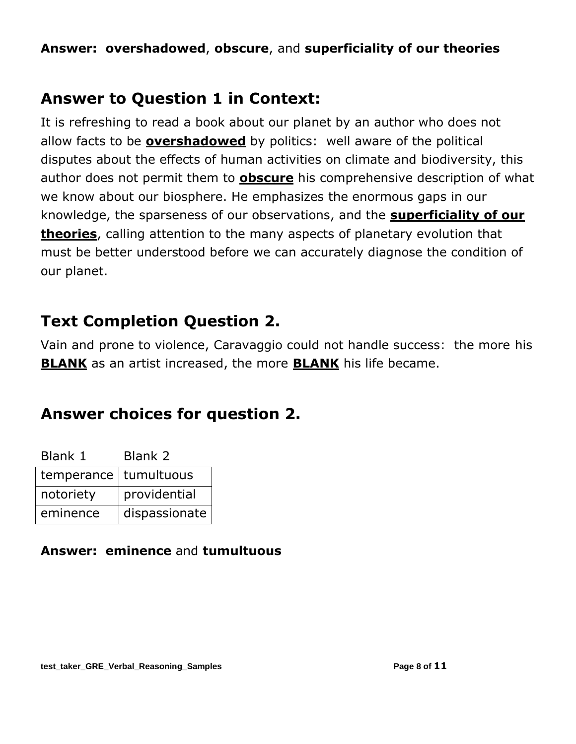#### **Answer: overshadowed**, **obscure**, and **superficiality of our theories**

#### **Answer to Question 1 in Context:**

It is refreshing to read a book about our planet by an author who does not allow facts to be **overshadowed** by politics: well aware of the political disputes about the effects of human activities on climate and biodiversity, this author does not permit them to **obscure** his comprehensive description of what we know about our biosphere. He emphasizes the enormous gaps in our knowledge, the sparseness of our observations, and the **superficiality of our theories**, calling attention to the many aspects of planetary evolution that must be better understood before we can accurately diagnose the condition of our planet.

### **Text Completion Question 2.**

Vain and prone to violence, Caravaggio could not handle success: the more his **BLANK** as an artist increased, the more **BLANK** his life became.

### **Answer choices for question 2.**

| Blank 1                 | Blank 2       |
|-------------------------|---------------|
| temperance   tumultuous |               |
| notoriety               | providential  |
| eminence                | dispassionate |

#### **Answer: eminence** and **tumultuous**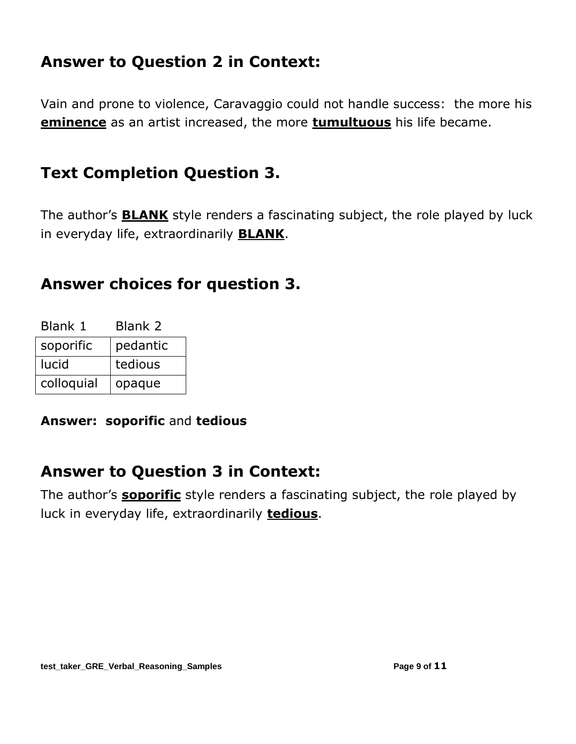### **Answer to Question 2 in Context:**

Vain and prone to violence, Caravaggio could not handle success: the more his **eminence** as an artist increased, the more **tumultuous** his life became.

### **Text Completion Question 3.**

The author's **BLANK** style renders a fascinating subject, the role played by luck in everyday life, extraordinarily **BLANK**.

#### **Answer choices for question 3.**

| Blank 1    | Blank 2  |
|------------|----------|
| soporific  | pedantic |
| lucid      | tedious  |
| colloquial | opaque   |

**Answer: soporific** and **tedious**

#### **Answer to Question 3 in Context:**

The author's **soporific** style renders a fascinating subject, the role played by luck in everyday life, extraordinarily **tedious**.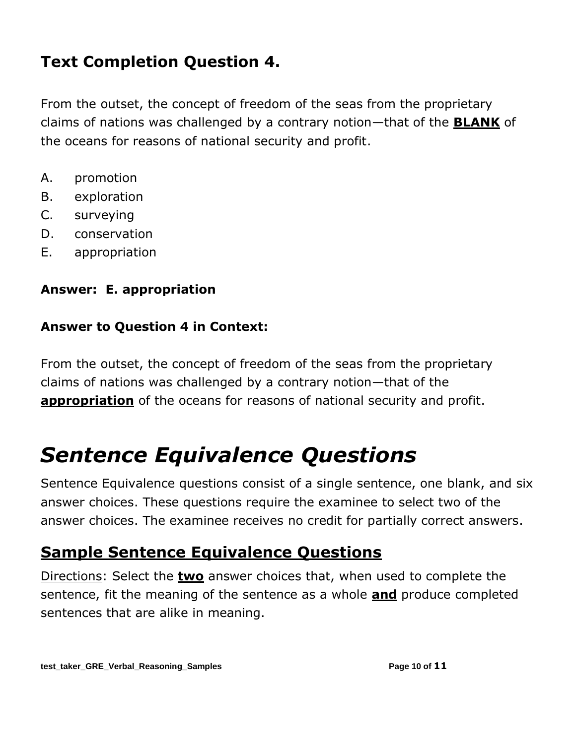## **Text Completion Question 4.**

From the outset, the concept of freedom of the seas from the proprietary claims of nations was challenged by a contrary notion—that of the **BLANK** of the oceans for reasons of national security and profit.

- A. promotion
- B. exploration
- C. surveying
- D. conservation
- E. appropriation

#### **Answer: E. appropriation**

#### **Answer to Question 4 in Context:**

From the outset, the concept of freedom of the seas from the proprietary claims of nations was challenged by a contrary notion—that of the **appropriation** of the oceans for reasons of national security and profit.

# *Sentence Equivalence Questions*

Sentence Equivalence questions consist of a single sentence, one blank, and six answer choices. These questions require the examinee to select two of the answer choices. The examinee receives no credit for partially correct answers.

### **Sample Sentence Equivalence Questions**

Directions: Select the **two** answer choices that, when used to complete the sentence, fit the meaning of the sentence as a whole **and** produce completed sentences that are alike in meaning.